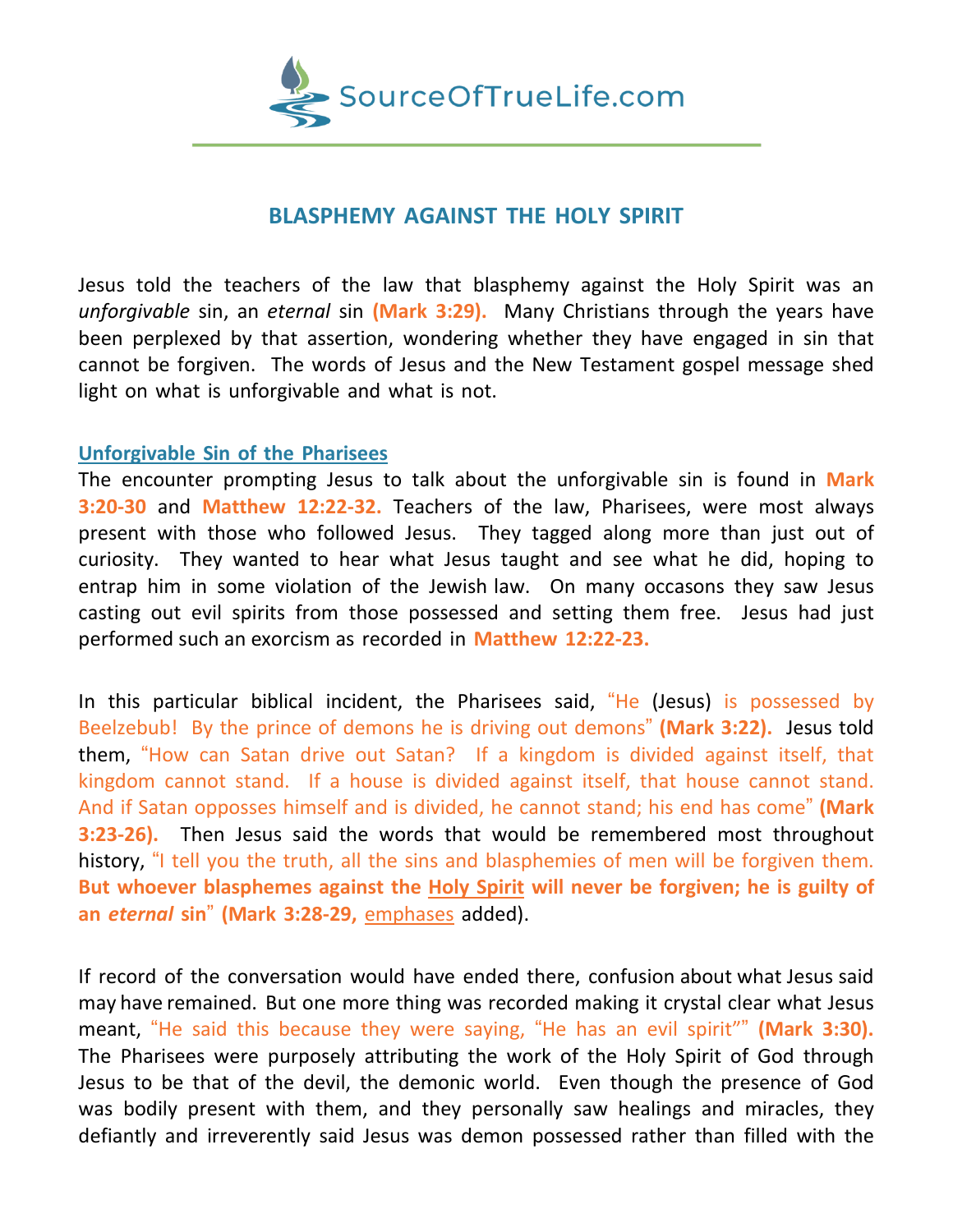

## **BLASPHEMY AGAINST THE HOLY SPIRIT**

Jesus told the teachers of the law that blasphemy against the Holy Spirit was an *unforgivable* sin, an *eternal* sin **(Mark 3:29).** Many Christians through the years have been perplexed by that assertion, wondering whether they have engaged in sin that cannot be forgiven. The words of Jesus and the New Testament gospel message shed light on what is unforgivable and what is not.

## **Unforgivable Sin of the Pharisees**

The encounter prompting Jesus to talk about the unforgivable sin is found in **Mark 3:20-30** and **Matthew 12:22-32.** Teachers of the law, Pharisees, were most always present with those who followed Jesus. They tagged along more than just out of curiosity. They wanted to hear what Jesus taught and see what he did, hoping to entrap him in some violation of the Jewish law. On many occasons they saw Jesus casting out evil spirits from those possessed and setting them free. Jesus had just performed such an exorcism as recorded in **Matthew 12:22-23.**

In this particular biblical incident, the Pharisees said, "He (Jesus) is possessed by Beelzebub! By the prince of demons he is driving out demons" **(Mark 3:22).** Jesus told them, "How can Satan drive out Satan? If a kingdom is divided against itself, that kingdom cannot stand. If a house is divided against itself, that house cannot stand. And if Satan opposses himself and is divided, he cannot stand; his end has come" **(Mark 3:23-26).** Then Jesus said the words that would be remembered most throughout history, "I tell you the truth, all the sins and blasphemies of men will be forgiven them. **But whoever blasphemes against the Holy Spirit will never be forgiven; he is guilty of an** *eternal* **sin**" **(Mark 3:28-29,** emphases added).

If record of the conversation would have ended there, confusion about what Jesus said may have remained. But one more thing was recorded making it crystal clear what Jesus meant, "He said this because they were saying, "He has an evil spirit"" **(Mark 3:30).** The Pharisees were purposely attributing the work of the Holy Spirit of God through Jesus to be that of the devil, the demonic world. Even though the presence of God was bodily present with them, and they personally saw healings and miracles, they defiantly and irreverently said Jesus was demon possessed rather than filled with the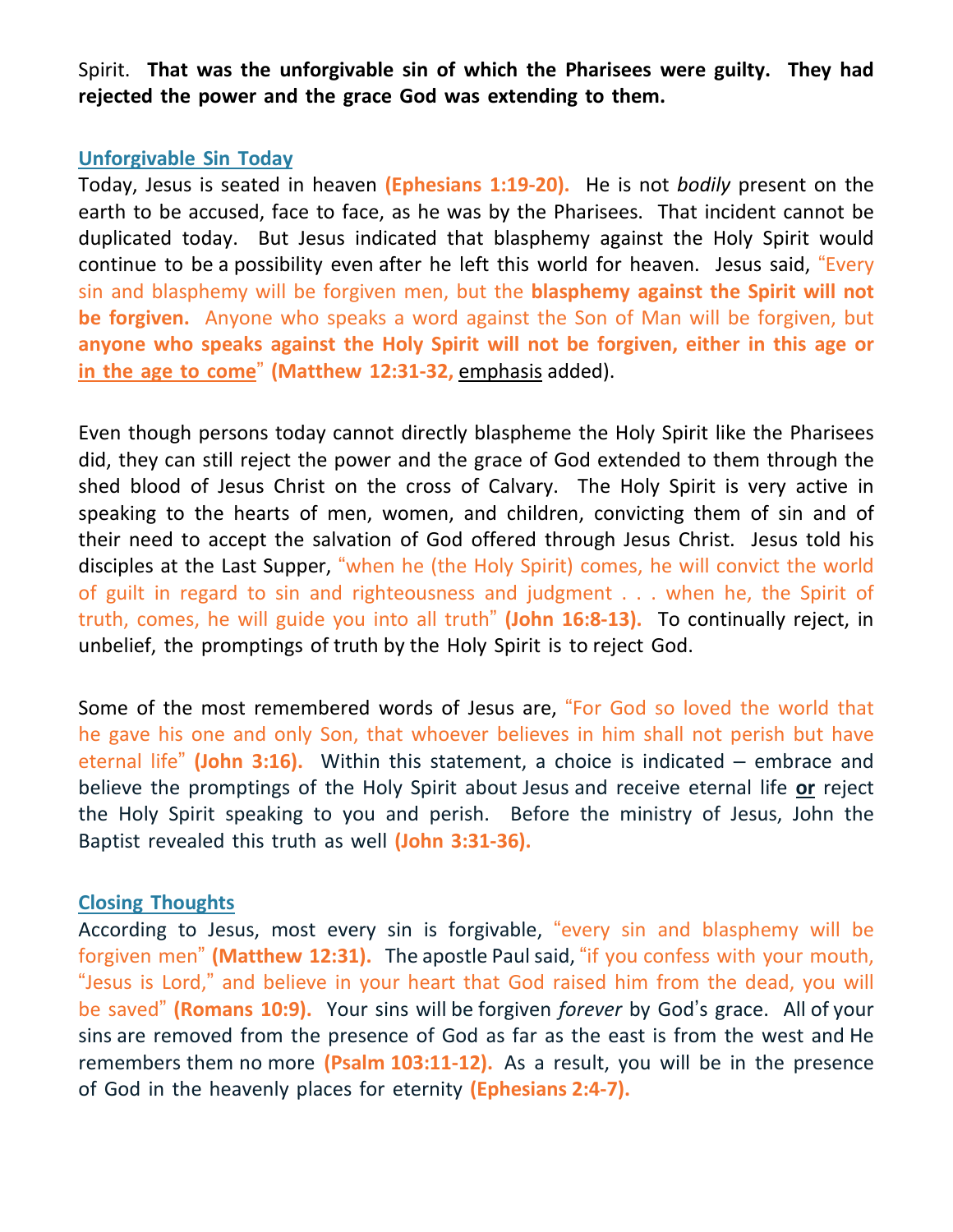Spirit. **That was the unforgivable sin of which the Pharisees were guilty. They had rejected the power and the grace God was extending to them.**

## **Unforgivable Sin Today**

Today, Jesus is seated in heaven **(Ephesians 1:19-20).** He is not *bodily* present on the earth to be accused, face to face, as he was by the Pharisees. That incident cannot be duplicated today. But Jesus indicated that blasphemy against the Holy Spirit would continue to be a possibility even after he left this world for heaven. Jesus said, "Every sin and blasphemy will be forgiven men, but the **blasphemy against the Spirit will not be forgiven.** Anyone who speaks a word against the Son of Man will be forgiven, but **anyone who speaks against the Holy Spirit will not be forgiven, either in this age or in the age to come**" **(Matthew 12:31-32,** emphasis added).

Even though persons today cannot directly blaspheme the Holy Spirit like the Pharisees did, they can still reject the power and the grace of God extended to them through the shed blood of Jesus Christ on the cross of Calvary. The Holy Spirit is very active in speaking to the hearts of men, women, and children, convicting them of sin and of their need to accept the salvation of God offered through Jesus Christ. Jesus told his disciples at the Last Supper, "when he (the Holy Spirit) comes, he will convict the world of guilt in regard to sin and righteousness and judgment . . . when he, the Spirit of truth, comes, he will guide you into all truth" **(John 16:8-13).** To continually reject, in unbelief, the promptings of truth by the Holy Spirit is to reject God.

Some of the most remembered words of Jesus are, "For God so loved the world that he gave his one and only Son, that whoever believes in him shall not perish but have eternal life" **(John 3:16).** Within this statement, a choice is indicated – embrace and believe the promptings of the Holy Spirit about Jesus and receive eternal life **or** reject the Holy Spirit speaking to you and perish. Before the ministry of Jesus, John the Baptist revealed this truth as well **(John 3:31-36).**

## **Closing Thoughts**

According to Jesus, most every sin is forgivable, "every sin and blasphemy will be forgiven men" **(Matthew 12:31).** The apostle Paul said, "if you confess with your mouth, "Jesus is Lord," and believe in your heart that God raised him from the dead, you will be saved" **(Romans 10:9).** Your sins will be forgiven *forever* by God's grace. All of your sins are removed from the presence of God as far as the east is from the west and He remembers them no more **(Psalm 103:11-12).** As a result, you will be in the presence of God in the heavenly places for eternity **(Ephesians 2:4-7).**